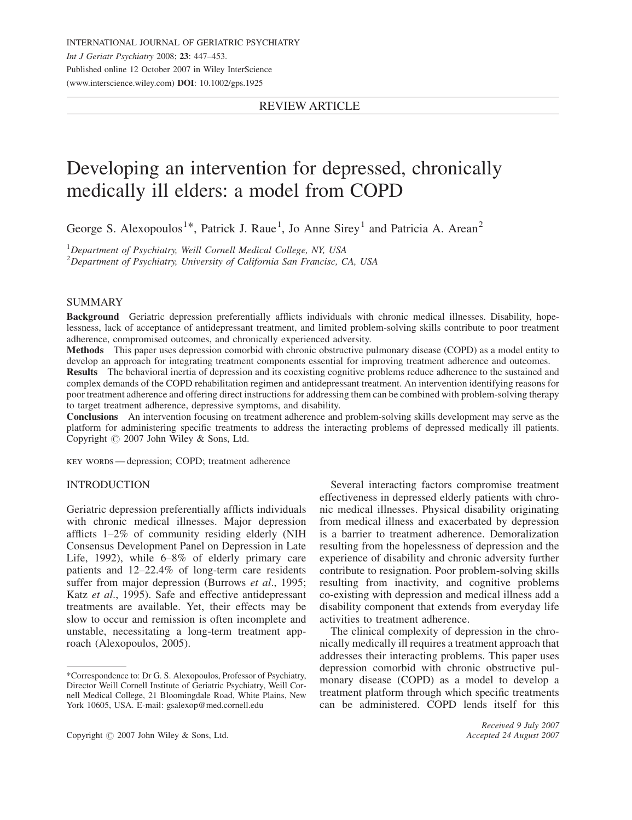## REVIEW ARTICLE

# Developing an intervention for depressed, chronically medically ill elders: a model from COPD

George S. Alexopoulos<sup>1\*</sup>, Patrick J. Raue<sup>1</sup>, Jo Anne Sirey<sup>1</sup> and Patricia A. Arean<sup>2</sup>

<sup>1</sup>Department of Psychiatry, Weill Cornell Medical College, NY, USA  $^{2}$ Department of Psychiatry, University of California San Francisc, CA, USA

## SUMMARY

Background Geriatric depression preferentially afflicts individuals with chronic medical illnesses. Disability, hopelessness, lack of acceptance of antidepressant treatment, and limited problem-solving skills contribute to poor treatment adherence, compromised outcomes, and chronically experienced adversity.

Methods This paper uses depression comorbid with chronic obstructive pulmonary disease (COPD) as a model entity to develop an approach for integrating treatment components essential for improving treatment adherence and outcomes.

Results The behavioral inertia of depression and its coexisting cognitive problems reduce adherence to the sustained and complex demands of the COPD rehabilitation regimen and antidepressant treatment. An intervention identifying reasons for poor treatment adherence and offering direct instructions for addressing them can be combined with problem-solving therapy to target treatment adherence, depressive symptoms, and disability.

Conclusions An intervention focusing on treatment adherence and problem-solving skills development may serve as the platform for administering specific treatments to address the interacting problems of depressed medically ill patients. Copyright  $\odot$  2007 John Wiley & Sons, Ltd.

key words — depression; COPD; treatment adherence

## INTRODUCTION

Geriatric depression preferentially afflicts individuals with chronic medical illnesses. Major depression afflicts 1–2% of community residing elderly (NIH Consensus Development Panel on Depression in Late Life, 1992), while 6–8% of elderly primary care patients and 12–22.4% of long-term care residents suffer from major depression (Burrows et al., 1995; Katz et al., 1995). Safe and effective antidepressant treatments are available. Yet, their effects may be slow to occur and remission is often incomplete and unstable, necessitating a long-term treatment approach (Alexopoulos, 2005).

Several interacting factors compromise treatment effectiveness in depressed elderly patients with chronic medical illnesses. Physical disability originating from medical illness and exacerbated by depression is a barrier to treatment adherence. Demoralization resulting from the hopelessness of depression and the experience of disability and chronic adversity further contribute to resignation. Poor problem-solving skills resulting from inactivity, and cognitive problems co-existing with depression and medical illness add a disability component that extends from everyday life activities to treatment adherence.

The clinical complexity of depression in the chronically medically ill requires a treatment approach that addresses their interacting problems. This paper uses depression comorbid with chronic obstructive pulmonary disease (COPD) as a model to develop a treatment platform through which specific treatments can be administered. COPD lends itself for this

<sup>\*</sup>Correspondence to: Dr G. S. Alexopoulos, Professor of Psychiatry, Director Weill Cornell Institute of Geriatric Psychiatry, Weill Cornell Medical College, 21 Bloomingdale Road, White Plains, New York 10605, USA. E-mail: gsalexop@med.cornell.edu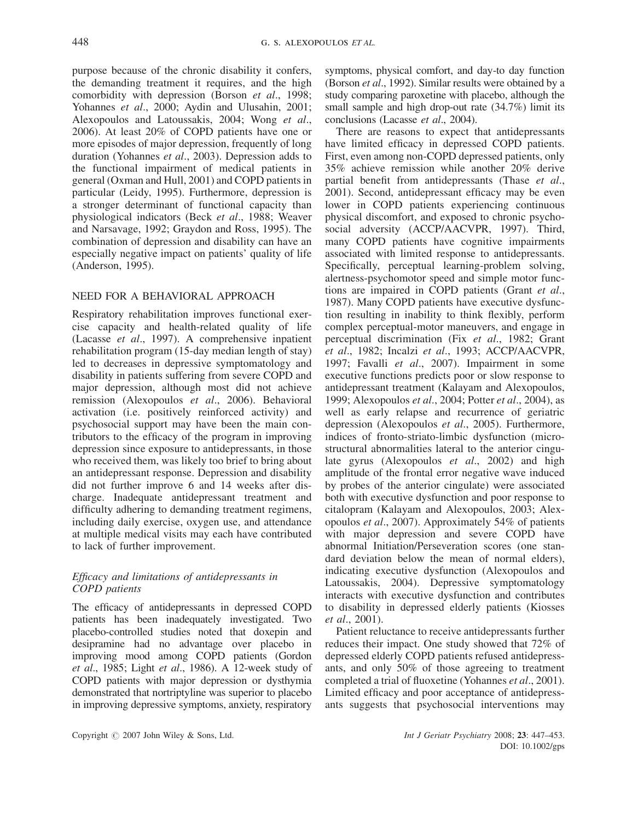purpose because of the chronic disability it confers, the demanding treatment it requires, and the high comorbidity with depression (Borson et al., 1998; Yohannes et al., 2000; Aydin and Ulusahin, 2001; Alexopoulos and Latoussakis, 2004; Wong et al., 2006). At least 20% of COPD patients have one or more episodes of major depression, frequently of long duration (Yohannes et al., 2003). Depression adds to the functional impairment of medical patients in general (Oxman and Hull, 2001) and COPD patients in particular (Leidy, 1995). Furthermore, depression is a stronger determinant of functional capacity than physiological indicators (Beck et al., 1988; Weaver and Narsavage, 1992; Graydon and Ross, 1995). The combination of depression and disability can have an especially negative impact on patients' quality of life (Anderson, 1995).

## NEED FOR A BEHAVIORAL APPROACH

Respiratory rehabilitation improves functional exercise capacity and health-related quality of life (Lacasse et al., 1997). A comprehensive inpatient rehabilitation program (15-day median length of stay) led to decreases in depressive symptomatology and disability in patients suffering from severe COPD and major depression, although most did not achieve remission (Alexopoulos et al., 2006). Behavioral activation (i.e. positively reinforced activity) and psychosocial support may have been the main contributors to the efficacy of the program in improving depression since exposure to antidepressants, in those who received them, was likely too brief to bring about an antidepressant response. Depression and disability did not further improve 6 and 14 weeks after discharge. Inadequate antidepressant treatment and difficulty adhering to demanding treatment regimens, including daily exercise, oxygen use, and attendance at multiple medical visits may each have contributed to lack of further improvement.

## Efficacy and limitations of antidepressants in COPD patients

The efficacy of antidepressants in depressed COPD patients has been inadequately investigated. Two placebo-controlled studies noted that doxepin and desipramine had no advantage over placebo in improving mood among COPD patients (Gordon et al., 1985; Light et al., 1986). A 12-week study of COPD patients with major depression or dysthymia demonstrated that nortriptyline was superior to placebo in improving depressive symptoms, anxiety, respiratory

symptoms, physical comfort, and day-to day function (Borson et al., 1992). Similar results were obtained by a study comparing paroxetine with placebo, although the small sample and high drop-out rate (34.7%) limit its conclusions (Lacasse et al., 2004).

There are reasons to expect that antidepressants have limited efficacy in depressed COPD patients. First, even among non-COPD depressed patients, only 35% achieve remission while another 20% derive partial benefit from antidepressants (Thase et al., 2001). Second, antidepressant efficacy may be even lower in COPD patients experiencing continuous physical discomfort, and exposed to chronic psychosocial adversity (ACCP/AACVPR, 1997). Third, many COPD patients have cognitive impairments associated with limited response to antidepressants. Specifically, perceptual learning-problem solving, alertness-psychomotor speed and simple motor functions are impaired in COPD patients (Grant et al., 1987). Many COPD patients have executive dysfunction resulting in inability to think flexibly, perform complex perceptual-motor maneuvers, and engage in perceptual discrimination (Fix et al., 1982; Grant et al., 1982; Incalzi et al., 1993; ACCP/AACVPR, 1997; Favalli et al., 2007). Impairment in some executive functions predicts poor or slow response to antidepressant treatment (Kalayam and Alexopoulos, 1999; Alexopoulos et al., 2004; Potter et al., 2004), as well as early relapse and recurrence of geriatric depression (Alexopoulos et al., 2005). Furthermore, indices of fronto-striato-limbic dysfunction (microstructural abnormalities lateral to the anterior cingulate gyrus (Alexopoulos et al., 2002) and high amplitude of the frontal error negative wave induced by probes of the anterior cingulate) were associated both with executive dysfunction and poor response to citalopram (Kalayam and Alexopoulos, 2003; Alexopoulos et al., 2007). Approximately 54% of patients with major depression and severe COPD have abnormal Initiation/Perseveration scores (one standard deviation below the mean of normal elders), indicating executive dysfunction (Alexopoulos and Latoussakis, 2004). Depressive symptomatology interacts with executive dysfunction and contributes to disability in depressed elderly patients (Kiosses et al., 2001).

Patient reluctance to receive antidepressants further reduces their impact. One study showed that 72% of depressed elderly COPD patients refused antidepressants, and only 50% of those agreeing to treatment completed a trial of fluoxetine (Yohannes et al., 2001). Limited efficacy and poor acceptance of antidepressants suggests that psychosocial interventions may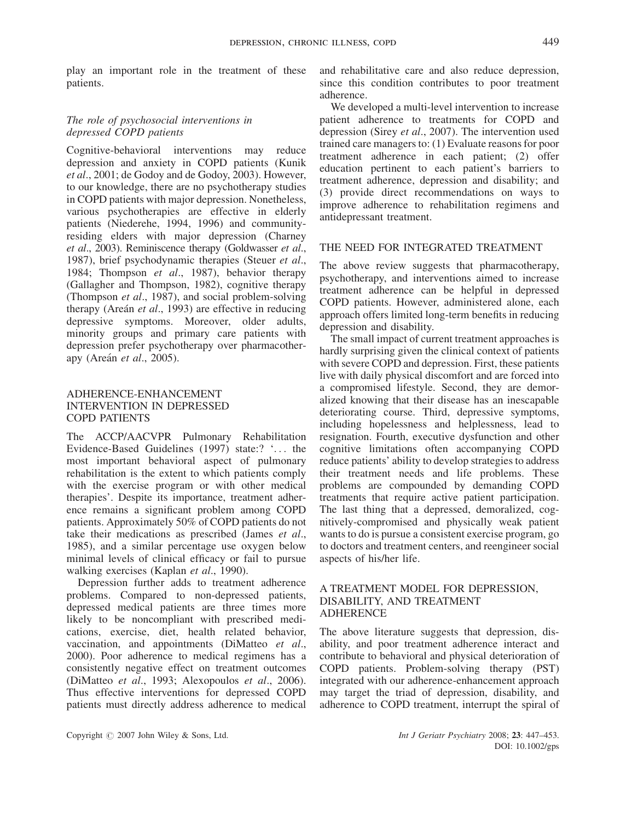play an important role in the treatment of these patients.

## The role of psychosocial interventions in depressed COPD patients

Cognitive-behavioral interventions may reduce depression and anxiety in COPD patients (Kunik et al., 2001; de Godoy and de Godoy, 2003). However, to our knowledge, there are no psychotherapy studies in COPD patients with major depression. Nonetheless, various psychotherapies are effective in elderly patients (Niederehe, 1994, 1996) and communityresiding elders with major depression (Charney et al., 2003). Reminiscence therapy (Goldwasser et al., 1987), brief psychodynamic therapies (Steuer et al., 1984; Thompson et al., 1987), behavior therapy (Gallagher and Thompson, 1982), cognitive therapy (Thompson et al., 1987), and social problem-solving therapy (Areán et al., 1993) are effective in reducing depressive symptoms. Moreover, older adults, minority groups and primary care patients with depression prefer psychotherapy over pharmacotherapy (Areán et al., 2005).

## ADHERENCE-ENHANCEMENT INTERVENTION IN DEPRESSED COPD PATIENTS

The ACCP/AACVPR Pulmonary Rehabilitation Evidence-Based Guidelines (1997) state:? '... the most important behavioral aspect of pulmonary rehabilitation is the extent to which patients comply with the exercise program or with other medical therapies'. Despite its importance, treatment adherence remains a significant problem among COPD patients. Approximately 50% of COPD patients do not take their medications as prescribed (James et al., 1985), and a similar percentage use oxygen below minimal levels of clinical efficacy or fail to pursue walking exercises (Kaplan *et al.*, 1990).

Depression further adds to treatment adherence problems. Compared to non-depressed patients, depressed medical patients are three times more likely to be noncompliant with prescribed medications, exercise, diet, health related behavior, vaccination, and appointments (DiMatteo et al., 2000). Poor adherence to medical regimens has a consistently negative effect on treatment outcomes (DiMatteo et al., 1993; Alexopoulos et al., 2006). Thus effective interventions for depressed COPD patients must directly address adherence to medical and rehabilitative care and also reduce depression, since this condition contributes to poor treatment adherence.

We developed a multi-level intervention to increase patient adherence to treatments for COPD and depression (Sirey et al., 2007). The intervention used trained care managers to: (1) Evaluate reasons for poor treatment adherence in each patient; (2) offer education pertinent to each patient's barriers to treatment adherence, depression and disability; and (3) provide direct recommendations on ways to improve adherence to rehabilitation regimens and antidepressant treatment.

# THE NEED FOR INTEGRATED TREATMENT

The above review suggests that pharmacotherapy, psychotherapy, and interventions aimed to increase treatment adherence can be helpful in depressed COPD patients. However, administered alone, each approach offers limited long-term benefits in reducing depression and disability.

The small impact of current treatment approaches is hardly surprising given the clinical context of patients with severe COPD and depression. First, these patients live with daily physical discomfort and are forced into a compromised lifestyle. Second, they are demoralized knowing that their disease has an inescapable deteriorating course. Third, depressive symptoms, including hopelessness and helplessness, lead to resignation. Fourth, executive dysfunction and other cognitive limitations often accompanying COPD reduce patients' ability to develop strategies to address their treatment needs and life problems. These problems are compounded by demanding COPD treatments that require active patient participation. The last thing that a depressed, demoralized, cognitively-compromised and physically weak patient wants to do is pursue a consistent exercise program, go to doctors and treatment centers, and reengineer social aspects of his/her life.

# A TREATMENT MODEL FOR DEPRESSION, DISABILITY, AND TREATMENT ADHERENCE

The above literature suggests that depression, disability, and poor treatment adherence interact and contribute to behavioral and physical deterioration of COPD patients. Problem-solving therapy (PST) integrated with our adherence-enhancement approach may target the triad of depression, disability, and adherence to COPD treatment, interrupt the spiral of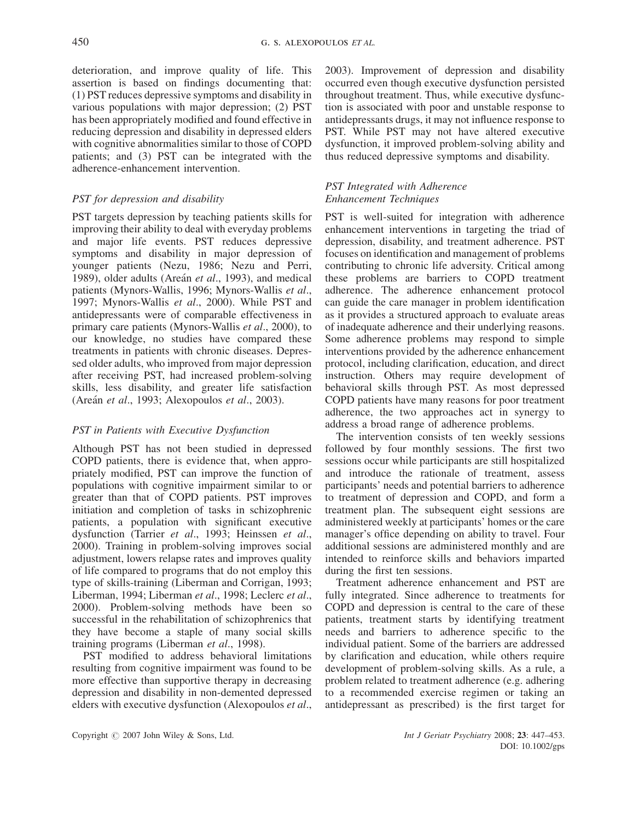deterioration, and improve quality of life. This assertion is based on findings documenting that: (1) PST reduces depressive symptoms and disability in various populations with major depression; (2) PST has been appropriately modified and found effective in reducing depression and disability in depressed elders with cognitive abnormalities similar to those of COPD patients; and (3) PST can be integrated with the adherence-enhancement intervention.

#### PST for depression and disability

PST targets depression by teaching patients skills for improving their ability to deal with everyday problems and major life events. PST reduces depressive symptoms and disability in major depression of younger patients (Nezu, 1986; Nezu and Perri, 1989), older adults (Areán et al., 1993), and medical patients (Mynors-Wallis, 1996; Mynors-Wallis et al., 1997; Mynors-Wallis et al., 2000). While PST and antidepressants were of comparable effectiveness in primary care patients (Mynors-Wallis et al., 2000), to our knowledge, no studies have compared these treatments in patients with chronic diseases. Depressed older adults, who improved from major depression after receiving PST, had increased problem-solving skills, less disability, and greater life satisfaction (Areán et al., 1993; Alexopoulos et al., 2003).

## PST in Patients with Executive Dysfunction

Although PST has not been studied in depressed COPD patients, there is evidence that, when appropriately modified, PST can improve the function of populations with cognitive impairment similar to or greater than that of COPD patients. PST improves initiation and completion of tasks in schizophrenic patients, a population with significant executive dysfunction (Tarrier et al., 1993; Heinssen et al., 2000). Training in problem-solving improves social adjustment, lowers relapse rates and improves quality of life compared to programs that do not employ this type of skills-training (Liberman and Corrigan, 1993; Liberman, 1994; Liberman et al., 1998; Leclerc et al., 2000). Problem-solving methods have been so successful in the rehabilitation of schizophrenics that they have become a staple of many social skills training programs (Liberman et al., 1998).

PST modified to address behavioral limitations resulting from cognitive impairment was found to be more effective than supportive therapy in decreasing depression and disability in non-demented depressed elders with executive dysfunction (Alexopoulos et al.,

2003). Improvement of depression and disability occurred even though executive dysfunction persisted throughout treatment. Thus, while executive dysfunction is associated with poor and unstable response to antidepressants drugs, it may not influence response to PST. While PST may not have altered executive dysfunction, it improved problem-solving ability and thus reduced depressive symptoms and disability.

## PST Integrated with Adherence Enhancement Techniques

PST is well-suited for integration with adherence enhancement interventions in targeting the triad of depression, disability, and treatment adherence. PST focuses on identification and management of problems contributing to chronic life adversity. Critical among these problems are barriers to COPD treatment adherence. The adherence enhancement protocol can guide the care manager in problem identification as it provides a structured approach to evaluate areas of inadequate adherence and their underlying reasons. Some adherence problems may respond to simple interventions provided by the adherence enhancement protocol, including clarification, education, and direct instruction. Others may require development of behavioral skills through PST. As most depressed COPD patients have many reasons for poor treatment adherence, the two approaches act in synergy to address a broad range of adherence problems.

The intervention consists of ten weekly sessions followed by four monthly sessions. The first two sessions occur while participants are still hospitalized and introduce the rationale of treatment, assess participants' needs and potential barriers to adherence to treatment of depression and COPD, and form a treatment plan. The subsequent eight sessions are administered weekly at participants' homes or the care manager's office depending on ability to travel. Four additional sessions are administered monthly and are intended to reinforce skills and behaviors imparted during the first ten sessions.

Treatment adherence enhancement and PST are fully integrated. Since adherence to treatments for COPD and depression is central to the care of these patients, treatment starts by identifying treatment needs and barriers to adherence specific to the individual patient. Some of the barriers are addressed by clarification and education, while others require development of problem-solving skills. As a rule, a problem related to treatment adherence (e.g. adhering to a recommended exercise regimen or taking an antidepressant as prescribed) is the first target for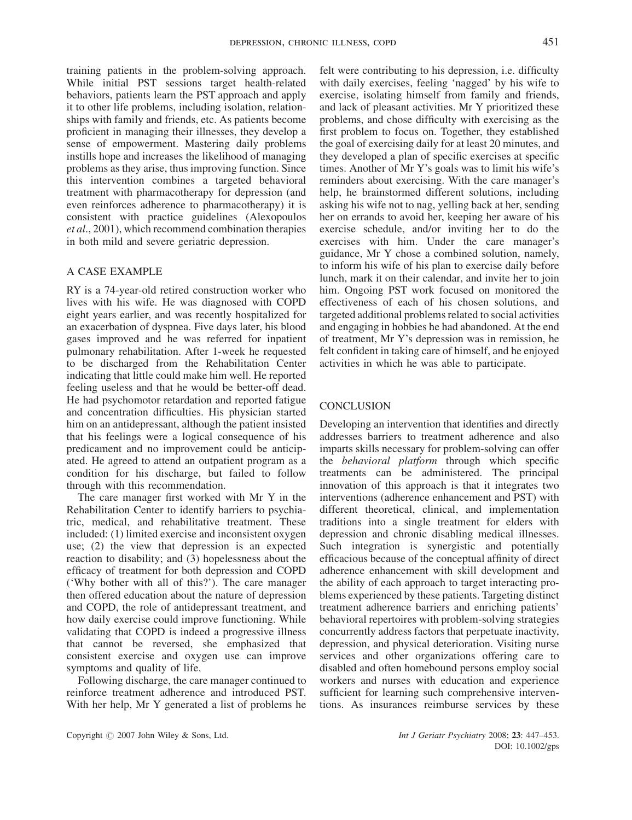training patients in the problem-solving approach. While initial PST sessions target health-related behaviors, patients learn the PST approach and apply it to other life problems, including isolation, relationships with family and friends, etc. As patients become proficient in managing their illnesses, they develop a sense of empowerment. Mastering daily problems instills hope and increases the likelihood of managing problems as they arise, thus improving function. Since this intervention combines a targeted behavioral treatment with pharmacotherapy for depression (and even reinforces adherence to pharmacotherapy) it is consistent with practice guidelines (Alexopoulos et al., 2001), which recommend combination therapies in both mild and severe geriatric depression.

## A CASE EXAMPLE

RY is a 74-year-old retired construction worker who lives with his wife. He was diagnosed with COPD eight years earlier, and was recently hospitalized for an exacerbation of dyspnea. Five days later, his blood gases improved and he was referred for inpatient pulmonary rehabilitation. After 1-week he requested to be discharged from the Rehabilitation Center indicating that little could make him well. He reported feeling useless and that he would be better-off dead. He had psychomotor retardation and reported fatigue and concentration difficulties. His physician started him on an antidepressant, although the patient insisted that his feelings were a logical consequence of his predicament and no improvement could be anticipated. He agreed to attend an outpatient program as a condition for his discharge, but failed to follow through with this recommendation.

The care manager first worked with Mr Y in the Rehabilitation Center to identify barriers to psychiatric, medical, and rehabilitative treatment. These included: (1) limited exercise and inconsistent oxygen use; (2) the view that depression is an expected reaction to disability; and (3) hopelessness about the efficacy of treatment for both depression and COPD ('Why bother with all of this?'). The care manager then offered education about the nature of depression and COPD, the role of antidepressant treatment, and how daily exercise could improve functioning. While validating that COPD is indeed a progressive illness that cannot be reversed, she emphasized that consistent exercise and oxygen use can improve symptoms and quality of life.

Following discharge, the care manager continued to reinforce treatment adherence and introduced PST. With her help, Mr Y generated a list of problems he felt were contributing to his depression, i.e. difficulty with daily exercises, feeling 'nagged' by his wife to exercise, isolating himself from family and friends, and lack of pleasant activities. Mr Y prioritized these problems, and chose difficulty with exercising as the first problem to focus on. Together, they established the goal of exercising daily for at least 20 minutes, and they developed a plan of specific exercises at specific times. Another of Mr Y's goals was to limit his wife's reminders about exercising. With the care manager's help, he brainstormed different solutions, including asking his wife not to nag, yelling back at her, sending her on errands to avoid her, keeping her aware of his exercise schedule, and/or inviting her to do the exercises with him. Under the care manager's guidance, Mr Y chose a combined solution, namely, to inform his wife of his plan to exercise daily before lunch, mark it on their calendar, and invite her to join him. Ongoing PST work focused on monitored the effectiveness of each of his chosen solutions, and targeted additional problems related to social activities and engaging in hobbies he had abandoned. At the end of treatment, Mr Y's depression was in remission, he felt confident in taking care of himself, and he enjoyed activities in which he was able to participate.

#### **CONCLUSION**

Developing an intervention that identifies and directly addresses barriers to treatment adherence and also imparts skills necessary for problem-solving can offer the behavioral platform through which specific treatments can be administered. The principal innovation of this approach is that it integrates two interventions (adherence enhancement and PST) with different theoretical, clinical, and implementation traditions into a single treatment for elders with depression and chronic disabling medical illnesses. Such integration is synergistic and potentially efficacious because of the conceptual affinity of direct adherence enhancement with skill development and the ability of each approach to target interacting problems experienced by these patients. Targeting distinct treatment adherence barriers and enriching patients' behavioral repertoires with problem-solving strategies concurrently address factors that perpetuate inactivity, depression, and physical deterioration. Visiting nurse services and other organizations offering care to disabled and often homebound persons employ social workers and nurses with education and experience sufficient for learning such comprehensive interventions. As insurances reimburse services by these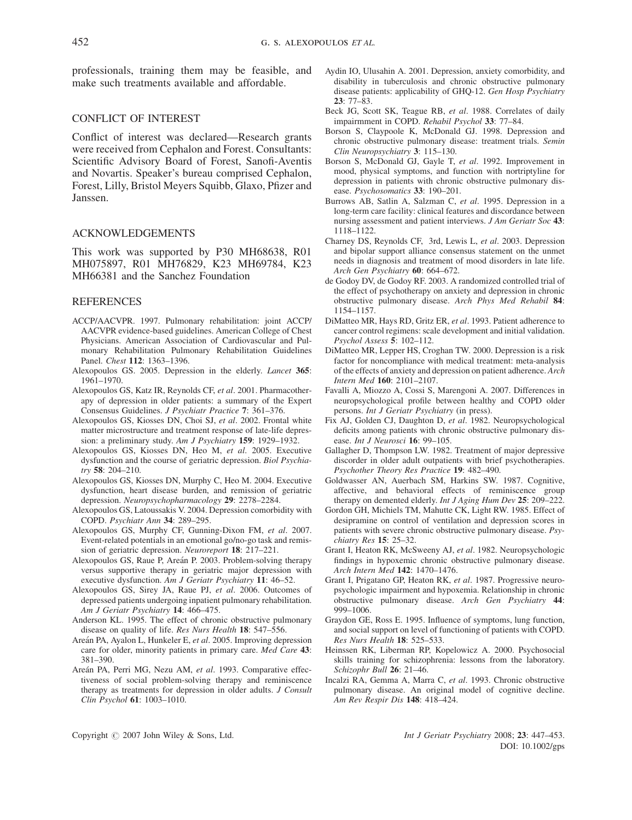professionals, training them may be feasible, and make such treatments available and affordable.

# CONFLICT OF INTEREST

Conflict of interest was declared—Research grants were received from Cephalon and Forest. Consultants: Scientific Advisory Board of Forest, Sanofi-Aventis and Novartis. Speaker's bureau comprised Cephalon, Forest, Lilly, Bristol Meyers Squibb, Glaxo, Pfizer and Janssen.

#### ACKNOWLEDGEMENTS

This work was supported by P30 MH68638, R01 MH075897, R01 MH76829, K23 MH69784, K23 MH66381 and the Sanchez Foundation

#### **REFERENCES**

- ACCP/AACVPR. 1997. Pulmonary rehabilitation: joint ACCP/ AACVPR evidence-based guidelines. American College of Chest Physicians. American Association of Cardiovascular and Pulmonary Rehabilitation Pulmonary Rehabilitation Guidelines Panel. Chest 112: 1363–1396.
- Alexopoulos GS. 2005. Depression in the elderly. Lancet 365: 1961–1970.
- Alexopoulos GS, Katz IR, Reynolds CF, et al. 2001. Pharmacotherapy of depression in older patients: a summary of the Expert Consensus Guidelines. J Psychiatr Practice 7: 361–376.
- Alexopoulos GS, Kiosses DN, Choi SJ, et al. 2002. Frontal white matter microstructure and treatment response of late-life depression: a preliminary study. Am J Psychiatry 159: 1929-1932.
- Alexopoulos GS, Kiosses DN, Heo M, et al. 2005. Executive dysfunction and the course of geriatric depression. Biol Psychiatry 58: 204–210.
- Alexopoulos GS, Kiosses DN, Murphy C, Heo M. 2004. Executive dysfunction, heart disease burden, and remission of geriatric depression. Neuropsychopharmacology 29: 2278–2284.
- Alexopoulos GS, Latoussakis V. 2004. Depression comorbidity with COPD. Psychiatr Ann 34: 289–295.
- Alexopoulos GS, Murphy CF, Gunning-Dixon FM, et al. 2007. Event-related potentials in an emotional go/no-go task and remission of geriatric depression. Neuroreport 18: 217–221.
- Alexopoulos GS, Raue P, Areán P. 2003. Problem-solving therapy versus supportive therapy in geriatric major depression with executive dysfunction. Am J Geriatr Psychiatry 11: 46–52.
- Alexopoulos GS, Sirey JA, Raue PJ, et al. 2006. Outcomes of depressed patients undergoing inpatient pulmonary rehabilitation. Am J Geriatr Psychiatry 14: 466–475.
- Anderson KL. 1995. The effect of chronic obstructive pulmonary disease on quality of life. Res Nurs Health 18: 547–556.
- Areán PA, Ayalon L, Hunkeler E, et al. 2005. Improving depression care for older, minority patients in primary care. Med Care 43: 381–390.
- Areán PA, Perri MG, Nezu AM, et al. 1993. Comparative effectiveness of social problem-solving therapy and reminiscence therapy as treatments for depression in older adults. J Consult Clin Psychol 61: 1003–1010.
- Aydin IO, Ulusahin A. 2001. Depression, anxiety comorbidity, and disability in tuberculosis and chronic obstructive pulmonary disease patients: applicability of GHQ-12. Gen Hosp Psychiatry 23: 77–83.
- Beck JG, Scott SK, Teague RB, et al. 1988. Correlates of daily impairmment in COPD. Rehabil Psychol 33: 77–84.
- Borson S, Claypoole K, McDonald GJ. 1998. Depression and chronic obstructive pulmonary disease: treatment trials. Semin Clin Neuropsychiatry 3: 115–130.
- Borson S, McDonald GJ, Gayle T, et al. 1992. Improvement in mood, physical symptoms, and function with nortriptyline for depression in patients with chronic obstructive pulmonary disease. Psychosomatics 33: 190–201.
- Burrows AB, Satlin A, Salzman C, et al. 1995. Depression in a long-term care facility: clinical features and discordance between nursing assessment and patient interviews. J Am Geriatr Soc 43: 1118–1122.
- Charney DS, Reynolds CF, 3rd, Lewis L, et al. 2003. Depression and bipolar support alliance consensus statement on the unmet needs in diagnosis and treatment of mood disorders in late life. Arch Gen Psychiatry 60: 664–672.
- de Godoy DV, de Godoy RF. 2003. A randomized controlled trial of the effect of psychotherapy on anxiety and depression in chronic obstructive pulmonary disease. Arch Phys Med Rehabil 84: 1154–1157.
- DiMatteo MR, Hays RD, Gritz ER, et al. 1993. Patient adherence to cancer control regimens: scale development and initial validation. Psychol Assess 5: 102–112.
- DiMatteo MR, Lepper HS, Croghan TW. 2000. Depression is a risk factor for noncompliance with medical treatment: meta-analysis of the effects of anxiety and depression on patient adherence. Arch Intern Med 160: 2101–2107.
- Favalli A, Miozzo A, Cossi S, Marengoni A. 2007. Differences in neuropsychological profile between healthy and COPD older persons. Int J Geriatr Psychiatry (in press).
- Fix AJ, Golden CJ, Daughton D, et al. 1982. Neuropsychological deficits among patients with chronic obstructive pulmonary disease. Int J Neurosci 16: 99-105.
- Gallagher D, Thompson LW. 1982. Treatment of major depressive discorder in older adult outpatients with brief psychotherapies. Psychother Theory Res Practice 19: 482–490.
- Goldwasser AN, Auerbach SM, Harkins SW. 1987. Cognitive, affective, and behavioral effects of reminiscence group therapy on demented elderly. Int J Aging Hum Dev 25: 209–222.
- Gordon GH, Michiels TM, Mahutte CK, Light RW. 1985. Effect of desipramine on control of ventilation and depression scores in patients with severe chronic obstructive pulmonary disease. Psychiatry Res 15: 25–32.
- Grant I, Heaton RK, McSweeny AJ, et al. 1982. Neuropsychologic findings in hypoxemic chronic obstructive pulmonary disease. Arch Intern Med 142: 1470–1476.
- Grant I, Prigatano GP, Heaton RK, et al. 1987. Progressive neuropsychologic impairment and hypoxemia. Relationship in chronic obstructive pulmonary disease. Arch Gen Psychiatry 44: 999–1006.
- Graydon GE, Ross E. 1995. Influence of symptoms, lung function, and social support on level of functioning of patients with COPD. Res Nurs Health 18: 525–533.
- Heinssen RK, Liberman RP, Kopelowicz A. 2000. Psychosocial skills training for schizophrenia: lessons from the laboratory. Schizophr Bull 26: 21–46.
- Incalzi RA, Gemma A, Marra C, et al. 1993. Chronic obstructive pulmonary disease. An original model of cognitive decline. Am Rev Respir Dis 148: 418–424.

Copyright  $\odot$  2007 John Wiley & Sons, Ltd. Int J Geriatr Psychiatry 2008; 23: 447–453.

DOI: 10.1002/gps